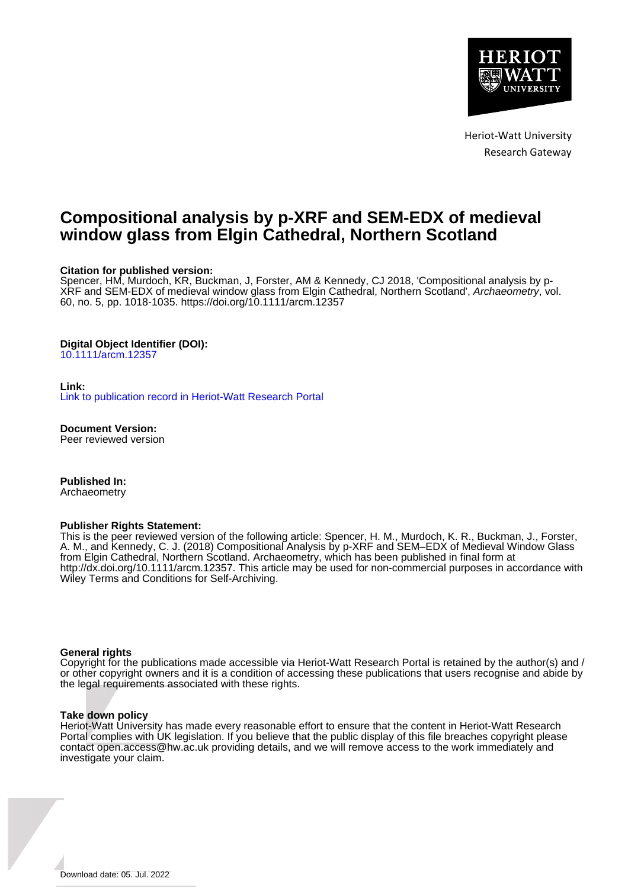

Heriot-Watt University Research Gateway

# **Compositional analysis by p-XRF and SEM-EDX of medieval window glass from Elgin Cathedral, Northern Scotland**

# **Citation for published version:**

Spencer, HM, Murdoch, KR, Buckman, J, Forster, AM & Kennedy, CJ 2018, 'Compositional analysis by p-XRF and SEM-EDX of medieval window glass from Elgin Cathedral, Northern Scotland', Archaeometry, vol. 60, no. 5, pp. 1018-1035. <https://doi.org/10.1111/arcm.12357>

# **Digital Object Identifier (DOI):**

[10.1111/arcm.12357](https://doi.org/10.1111/arcm.12357)

#### **Link:**

[Link to publication record in Heriot-Watt Research Portal](https://researchportal.hw.ac.uk/en/publications/7e8c0909-277d-4114-b134-6ab511835ea1)

**Document Version:** Peer reviewed version

**Published In:** Archaeometry

#### **Publisher Rights Statement:**

This is the peer reviewed version of the following article: Spencer, H. M., Murdoch, K. R., Buckman, J., Forster, A. M., and Kennedy, C. J. (2018) Compositional Analysis by p-XRF and SEM–EDX of Medieval Window Glass from Elgin Cathedral, Northern Scotland. Archaeometry, which has been published in final form at http://dx.doi.org/10.1111/arcm.12357. This article may be used for non-commercial purposes in accordance with Wiley Terms and Conditions for Self-Archiving.

#### **General rights**

Copyright for the publications made accessible via Heriot-Watt Research Portal is retained by the author(s) and / or other copyright owners and it is a condition of accessing these publications that users recognise and abide by the legal requirements associated with these rights.

#### **Take down policy**

Heriot-Watt University has made every reasonable effort to ensure that the content in Heriot-Watt Research Portal complies with UK legislation. If you believe that the public display of this file breaches copyright please contact open.access@hw.ac.uk providing details, and we will remove access to the work immediately and investigate your claim.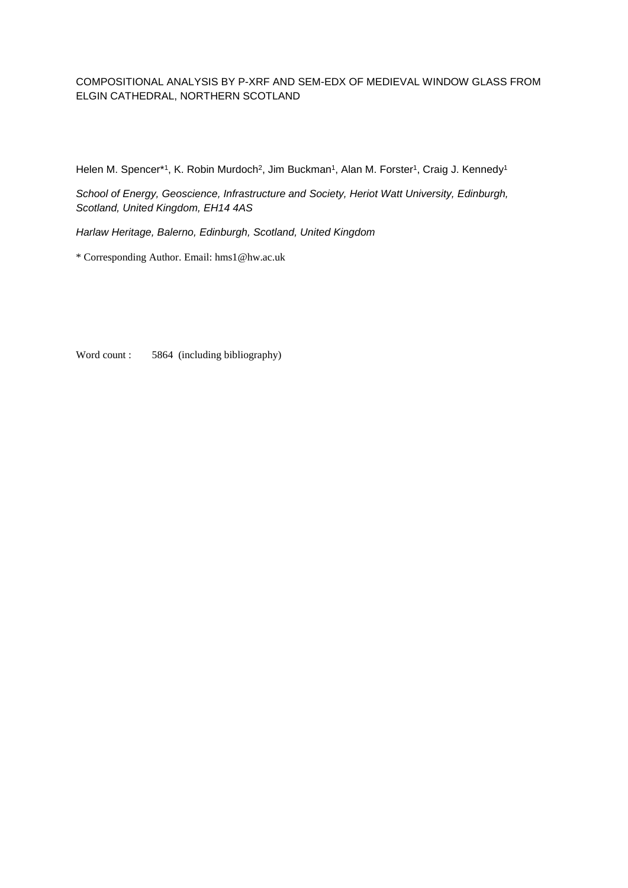# COMPOSITIONAL ANALYSIS BY P-XRF AND SEM-EDX OF MEDIEVAL WINDOW GLASS FROM ELGIN CATHEDRAL, NORTHERN SCOTLAND

Helen M. Spencer\*1, K. Robin Murdoch<sup>2</sup>, Jim Buckman<sup>1</sup>, Alan M. Forster<sup>1</sup>, Craig J. Kennedy<sup>1</sup>

*School of Energy, Geoscience, Infrastructure and Society, Heriot Watt University, Edinburgh, Scotland, United Kingdom, EH14 4AS*

*Harlaw Heritage, Balerno, Edinburgh, Scotland, United Kingdom*

\* Corresponding Author. Email: hms1@hw.ac.uk

Word count : 5864 (including bibliography)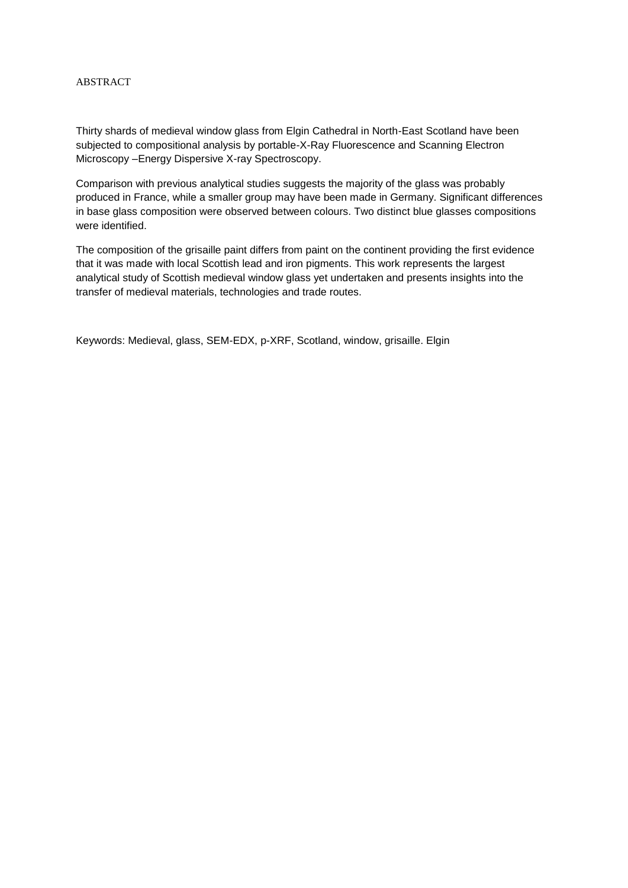# ABSTRACT

Thirty shards of medieval window glass from Elgin Cathedral in North-East Scotland have been subjected to compositional analysis by portable-X-Ray Fluorescence and Scanning Electron Microscopy –Energy Dispersive X-ray Spectroscopy.

Comparison with previous analytical studies suggests the majority of the glass was probably produced in France, while a smaller group may have been made in Germany. Significant differences in base glass composition were observed between colours. Two distinct blue glasses compositions were identified.

The composition of the grisaille paint differs from paint on the continent providing the first evidence that it was made with local Scottish lead and iron pigments. This work represents the largest analytical study of Scottish medieval window glass yet undertaken and presents insights into the transfer of medieval materials, technologies and trade routes.

Keywords: Medieval, glass, SEM-EDX, p-XRF, Scotland, window, grisaille. Elgin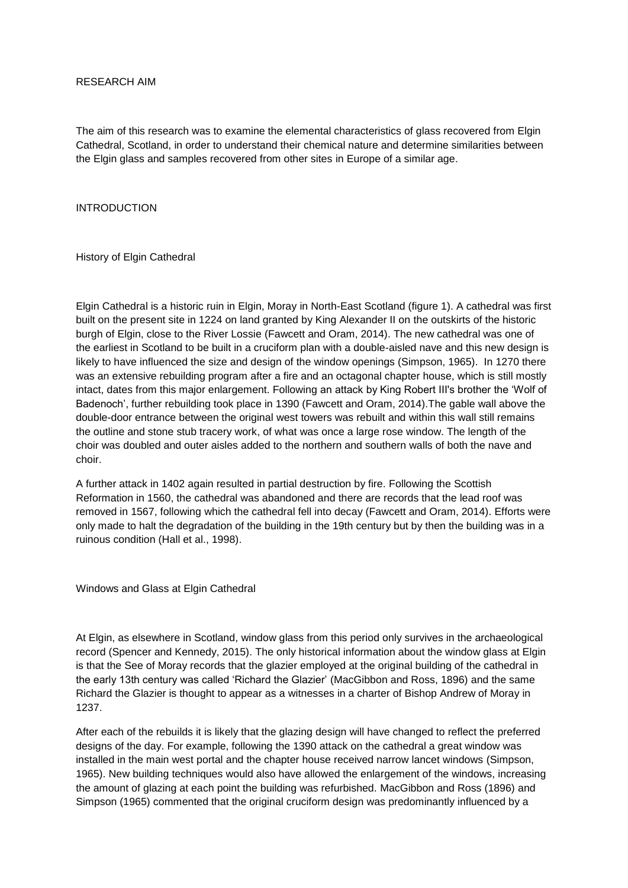# RESEARCH AIM

The aim of this research was to examine the elemental characteristics of glass recovered from Elgin Cathedral, Scotland, in order to understand their chemical nature and determine similarities between the Elgin glass and samples recovered from other sites in Europe of a similar age.

# INTRODUCTION

History of Elgin Cathedral

Elgin Cathedral is a historic ruin in Elgin, Moray in North-East Scotland (figure 1). A cathedral was first built on the present site in 1224 on land granted by King Alexander II on the outskirts of the historic burgh of Elgin, close to the River Lossie (Fawcett and Oram, 2014). The new cathedral was one of the earliest in Scotland to be built in a cruciform plan with a double-aisled nave and this new design is likely to have influenced the size and design of the window openings (Simpson, 1965). In 1270 there was an extensive rebuilding program after a fire and an octagonal chapter house, which is still mostly intact, dates from this major enlargement. Following an attack by King Robert III's brother the 'Wolf of Badenoch', further rebuilding took place in 1390 (Fawcett and Oram, 2014).The gable wall above the double-door entrance between the original west towers was rebuilt and within this wall still remains the outline and stone stub tracery work, of what was once a large rose window. The length of the choir was doubled and outer aisles added to the northern and southern walls of both the nave and choir.

A further attack in 1402 again resulted in partial destruction by fire. Following the Scottish Reformation in 1560, the cathedral was abandoned and there are records that the lead roof was removed in 1567, following which the cathedral fell into decay (Fawcett and Oram, 2014). Efforts were only made to halt the degradation of the building in the 19th century but by then the building was in a ruinous condition (Hall et al., 1998).

Windows and Glass at Elgin Cathedral

At Elgin, as elsewhere in Scotland, window glass from this period only survives in the archaeological record (Spencer and Kennedy, 2015). The only historical information about the window glass at Elgin is that the See of Moray records that the glazier employed at the original building of the cathedral in the early 13th century was called 'Richard the Glazier' (MacGibbon and Ross, 1896) and the same Richard the Glazier is thought to appear as a witnesses in a charter of Bishop Andrew of Moray in 1237.

After each of the rebuilds it is likely that the glazing design will have changed to reflect the preferred designs of the day. For example, following the 1390 attack on the cathedral a great window was installed in the main west portal and the chapter house received narrow lancet windows (Simpson, 1965). New building techniques would also have allowed the enlargement of the windows, increasing the amount of glazing at each point the building was refurbished. MacGibbon and Ross (1896) and Simpson (1965) commented that the original cruciform design was predominantly influenced by a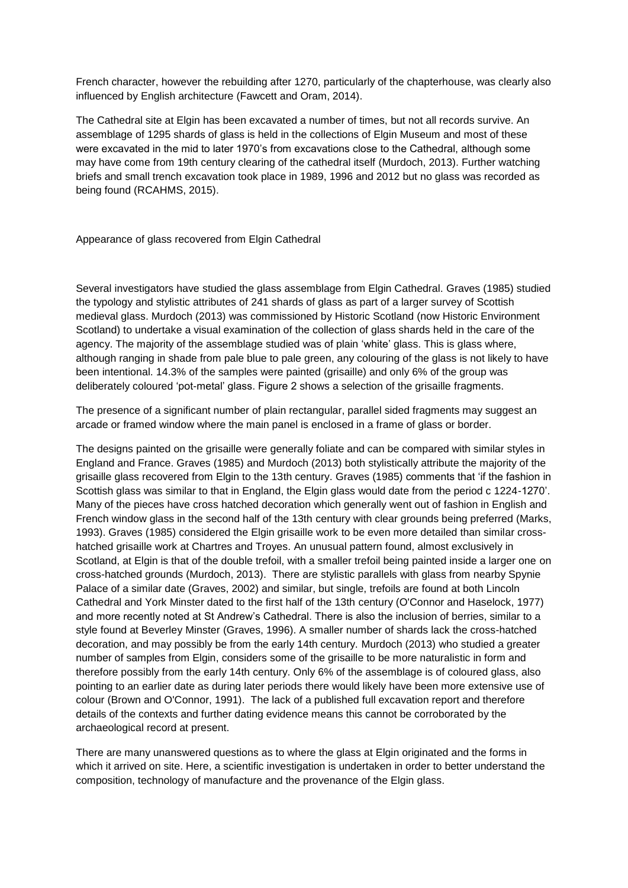French character, however the rebuilding after 1270, particularly of the chapterhouse, was clearly also influenced by English architecture (Fawcett and Oram, 2014).

The Cathedral site at Elgin has been excavated a number of times, but not all records survive. An assemblage of 1295 shards of glass is held in the collections of Elgin Museum and most of these were excavated in the mid to later 1970's from excavations close to the Cathedral, although some may have come from 19th century clearing of the cathedral itself (Murdoch, 2013). Further watching briefs and small trench excavation took place in 1989, 1996 and 2012 but no glass was recorded as being found (RCAHMS, 2015).

# Appearance of glass recovered from Elgin Cathedral

Several investigators have studied the glass assemblage from Elgin Cathedral. Graves (1985) studied the typology and stylistic attributes of 241 shards of glass as part of a larger survey of Scottish medieval glass. Murdoch (2013) was commissioned by Historic Scotland (now Historic Environment Scotland) to undertake a visual examination of the collection of glass shards held in the care of the agency. The majority of the assemblage studied was of plain 'white' glass. This is glass where, although ranging in shade from pale blue to pale green, any colouring of the glass is not likely to have been intentional. 14.3% of the samples were painted (grisaille) and only 6% of the group was deliberately coloured 'pot-metal' glass. Figure 2 shows a selection of the grisaille fragments.

The presence of a significant number of plain rectangular, parallel sided fragments may suggest an arcade or framed window where the main panel is enclosed in a frame of glass or border.

The designs painted on the grisaille were generally foliate and can be compared with similar styles in England and France. Graves (1985) and Murdoch (2013) both stylistically attribute the majority of the grisaille glass recovered from Elgin to the 13th century. Graves (1985) comments that 'if the fashion in Scottish glass was similar to that in England, the Elgin glass would date from the period c 1224-1270'. Many of the pieces have cross hatched decoration which generally went out of fashion in English and French window glass in the second half of the 13th century with clear grounds being preferred (Marks, 1993). Graves (1985) considered the Elgin grisaille work to be even more detailed than similar crosshatched grisaille work at Chartres and Troyes. An unusual pattern found, almost exclusively in Scotland, at Elgin is that of the double trefoil, with a smaller trefoil being painted inside a larger one on cross-hatched grounds (Murdoch, 2013). There are stylistic parallels with glass from nearby Spynie Palace of a similar date (Graves, 2002) and similar, but single, trefoils are found at both Lincoln Cathedral and York Minster dated to the first half of the 13th century (O'Connor and Haselock, 1977) and more recently noted at St Andrew's Cathedral. There is also the inclusion of berries, similar to a style found at Beverley Minster (Graves, 1996). A smaller number of shards lack the cross-hatched decoration, and may possibly be from the early 14th century. Murdoch (2013) who studied a greater number of samples from Elgin, considers some of the grisaille to be more naturalistic in form and therefore possibly from the early 14th century. Only 6% of the assemblage is of coloured glass, also pointing to an earlier date as during later periods there would likely have been more extensive use of colour (Brown and O'Connor, 1991). The lack of a published full excavation report and therefore details of the contexts and further dating evidence means this cannot be corroborated by the archaeological record at present.

There are many unanswered questions as to where the glass at Elgin originated and the forms in which it arrived on site. Here, a scientific investigation is undertaken in order to better understand the composition, technology of manufacture and the provenance of the Elgin glass.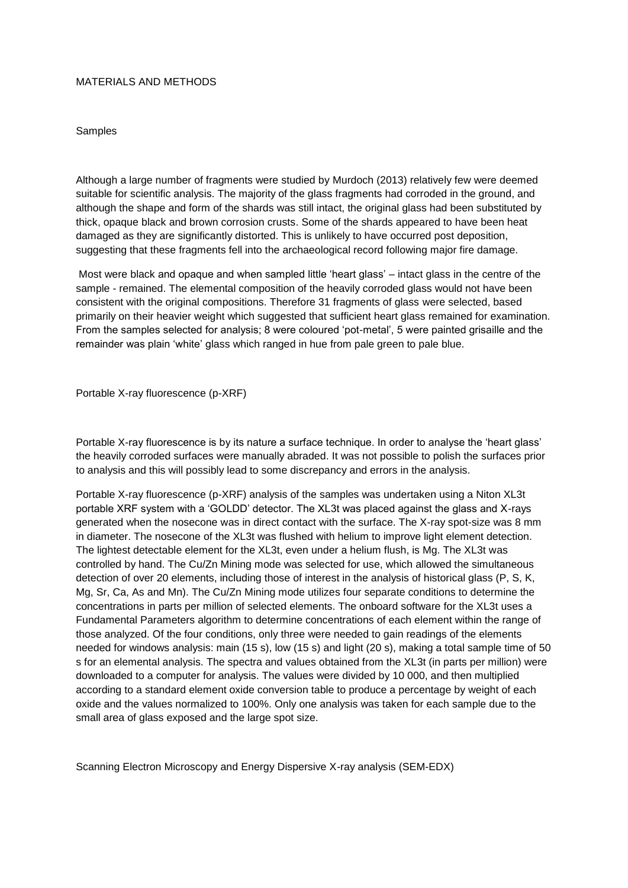## MATERIALS AND METHODS

Samples

Although a large number of fragments were studied by Murdoch (2013) relatively few were deemed suitable for scientific analysis. The majority of the glass fragments had corroded in the ground, and although the shape and form of the shards was still intact, the original glass had been substituted by thick, opaque black and brown corrosion crusts. Some of the shards appeared to have been heat damaged as they are significantly distorted. This is unlikely to have occurred post deposition, suggesting that these fragments fell into the archaeological record following major fire damage.

Most were black and opaque and when sampled little 'heart glass' – intact glass in the centre of the sample - remained. The elemental composition of the heavily corroded glass would not have been consistent with the original compositions. Therefore 31 fragments of glass were selected, based primarily on their heavier weight which suggested that sufficient heart glass remained for examination. From the samples selected for analysis; 8 were coloured 'pot-metal', 5 were painted grisaille and the remainder was plain 'white' glass which ranged in hue from pale green to pale blue.

## Portable X-ray fluorescence (p-XRF)

Portable X-ray fluorescence is by its nature a surface technique. In order to analyse the 'heart glass' the heavily corroded surfaces were manually abraded. It was not possible to polish the surfaces prior to analysis and this will possibly lead to some discrepancy and errors in the analysis.

Portable X-ray fluorescence (p-XRF) analysis of the samples was undertaken using a Niton XL3t portable XRF system with a 'GOLDD' detector. The XL3t was placed against the glass and X-rays generated when the nosecone was in direct contact with the surface. The X-ray spot-size was 8 mm in diameter. The nosecone of the XL3t was flushed with helium to improve light element detection. The lightest detectable element for the XL3t, even under a helium flush, is Mg. The XL3t was controlled by hand. The Cu/Zn Mining mode was selected for use, which allowed the simultaneous detection of over 20 elements, including those of interest in the analysis of historical glass (P, S, K, Mg, Sr, Ca, As and Mn). The Cu/Zn Mining mode utilizes four separate conditions to determine the concentrations in parts per million of selected elements. The onboard software for the XL3t uses a Fundamental Parameters algorithm to determine concentrations of each element within the range of those analyzed. Of the four conditions, only three were needed to gain readings of the elements needed for windows analysis: main (15 s), low (15 s) and light (20 s), making a total sample time of 50 s for an elemental analysis. The spectra and values obtained from the XL3t (in parts per million) were downloaded to a computer for analysis. The values were divided by 10 000, and then multiplied according to a standard element oxide conversion table to produce a percentage by weight of each oxide and the values normalized to 100%. Only one analysis was taken for each sample due to the small area of glass exposed and the large spot size.

Scanning Electron Microscopy and Energy Dispersive X-ray analysis (SEM-EDX)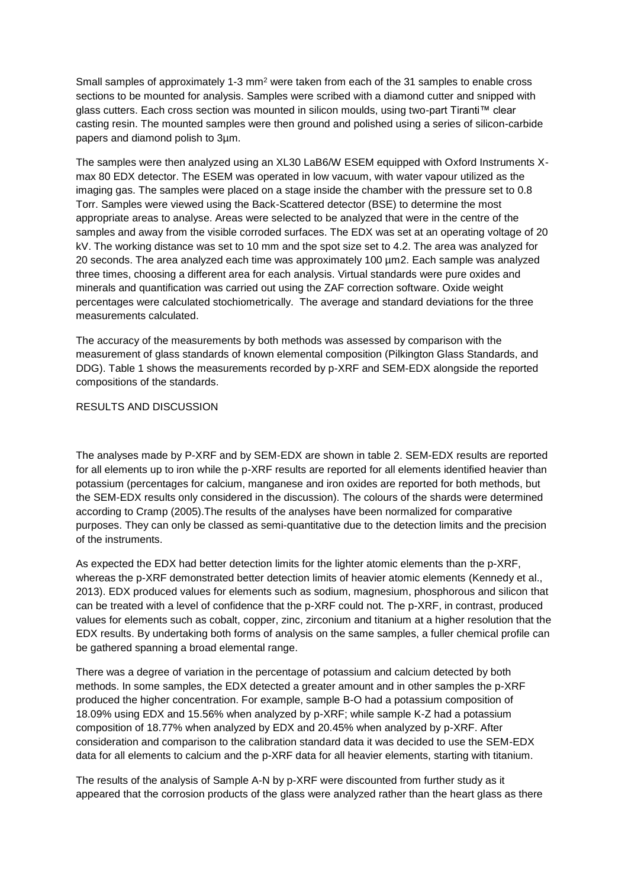Small samples of approximately 1-3 mm<sup>2</sup> were taken from each of the 31 samples to enable cross sections to be mounted for analysis. Samples were scribed with a diamond cutter and snipped with glass cutters. Each cross section was mounted in silicon moulds, using two-part Tiranti™ clear casting resin. The mounted samples were then ground and polished using a series of silicon-carbide papers and diamond polish to 3µm.

The samples were then analyzed using an XL30 LaB6/W ESEM equipped with Oxford Instruments Xmax 80 EDX detector. The ESEM was operated in low vacuum, with water vapour utilized as the imaging gas. The samples were placed on a stage inside the chamber with the pressure set to 0.8 Torr. Samples were viewed using the Back-Scattered detector (BSE) to determine the most appropriate areas to analyse. Areas were selected to be analyzed that were in the centre of the samples and away from the visible corroded surfaces. The EDX was set at an operating voltage of 20 kV. The working distance was set to 10 mm and the spot size set to 4.2. The area was analyzed for 20 seconds. The area analyzed each time was approximately 100 µm2. Each sample was analyzed three times, choosing a different area for each analysis. Virtual standards were pure oxides and minerals and quantification was carried out using the ZAF correction software. Oxide weight percentages were calculated stochiometrically. The average and standard deviations for the three measurements calculated.

The accuracy of the measurements by both methods was assessed by comparison with the measurement of glass standards of known elemental composition (Pilkington Glass Standards, and DDG). Table 1 shows the measurements recorded by p-XRF and SEM-EDX alongside the reported compositions of the standards.

# RESULTS AND DISCUSSION

The analyses made by P-XRF and by SEM-EDX are shown in table 2. SEM-EDX results are reported for all elements up to iron while the p-XRF results are reported for all elements identified heavier than potassium (percentages for calcium, manganese and iron oxides are reported for both methods, but the SEM-EDX results only considered in the discussion). The colours of the shards were determined according to Cramp (2005).The results of the analyses have been normalized for comparative purposes. They can only be classed as semi-quantitative due to the detection limits and the precision of the instruments.

As expected the EDX had better detection limits for the lighter atomic elements than the p-XRF, whereas the p-XRF demonstrated better detection limits of heavier atomic elements (Kennedy et al., 2013). EDX produced values for elements such as sodium, magnesium, phosphorous and silicon that can be treated with a level of confidence that the p-XRF could not. The p-XRF, in contrast, produced values for elements such as cobalt, copper, zinc, zirconium and titanium at a higher resolution that the EDX results. By undertaking both forms of analysis on the same samples, a fuller chemical profile can be gathered spanning a broad elemental range.

There was a degree of variation in the percentage of potassium and calcium detected by both methods. In some samples, the EDX detected a greater amount and in other samples the p-XRF produced the higher concentration. For example, sample B-O had a potassium composition of 18.09% using EDX and 15.56% when analyzed by p-XRF; while sample K-Z had a potassium composition of 18.77% when analyzed by EDX and 20.45% when analyzed by p-XRF. After consideration and comparison to the calibration standard data it was decided to use the SEM-EDX data for all elements to calcium and the p-XRF data for all heavier elements, starting with titanium.

The results of the analysis of Sample A-N by p-XRF were discounted from further study as it appeared that the corrosion products of the glass were analyzed rather than the heart glass as there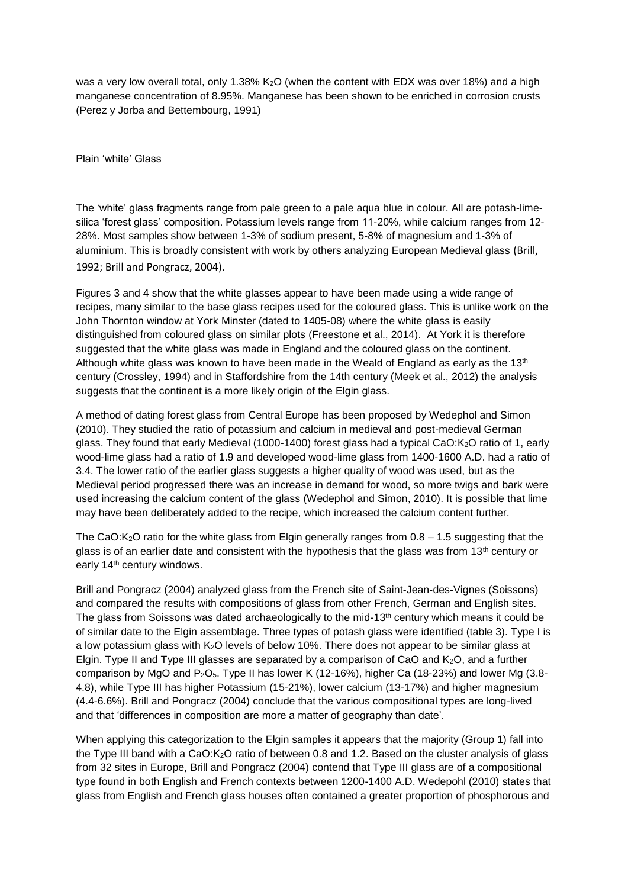was a very low overall total, only 1.38% K<sub>2</sub>O (when the content with EDX was over 18%) and a high manganese concentration of 8.95%. Manganese has been shown to be enriched in corrosion crusts (Perez y Jorba and Bettembourg, 1991)

Plain 'white' Glass

The 'white' glass fragments range from pale green to a pale aqua blue in colour. All are potash-limesilica 'forest glass' composition. Potassium levels range from 11-20%, while calcium ranges from 12- 28%. Most samples show between 1-3% of sodium present, 5-8% of magnesium and 1-3% of aluminium. This is broadly consistent with work by others analyzing European Medieval glass (Brill, 1992; Brill and Pongracz, 2004).

Figures 3 and 4 show that the white glasses appear to have been made using a wide range of recipes, many similar to the base glass recipes used for the coloured glass. This is unlike work on the John Thornton window at York Minster (dated to 1405-08) where the white glass is easily distinguished from coloured glass on similar plots (Freestone et al., 2014). At York it is therefore suggested that the white glass was made in England and the coloured glass on the continent. Although white glass was known to have been made in the Weald of England as early as the 13<sup>th</sup> century (Crossley, 1994) and in Staffordshire from the 14th century (Meek et al., 2012) the analysis suggests that the continent is a more likely origin of the Elgin glass.

A method of dating forest glass from Central Europe has been proposed by Wedephol and Simon (2010). They studied the ratio of potassium and calcium in medieval and post-medieval German glass. They found that early Medieval (1000-1400) forest glass had a typical CaO:K2O ratio of 1, early wood-lime glass had a ratio of 1.9 and developed wood-lime glass from 1400-1600 A.D. had a ratio of 3.4. The lower ratio of the earlier glass suggests a higher quality of wood was used, but as the Medieval period progressed there was an increase in demand for wood, so more twigs and bark were used increasing the calcium content of the glass (Wedephol and Simon, 2010). It is possible that lime may have been deliberately added to the recipe, which increased the calcium content further.

The CaO:K<sub>2</sub>O ratio for the white glass from Elgin generally ranges from  $0.8 - 1.5$  suggesting that the glass is of an earlier date and consistent with the hypothesis that the glass was from  $13<sup>th</sup>$  century or early 14<sup>th</sup> century windows.

Brill and Pongracz (2004) analyzed glass from the French site of Saint-Jean-des-Vignes (Soissons) and compared the results with compositions of glass from other French, German and English sites. The glass from Soissons was dated archaeologically to the mid-13<sup>th</sup> century which means it could be of similar date to the Elgin assemblage. Three types of potash glass were identified (table 3). Type I is a low potassium glass with K2O levels of below 10%. There does not appear to be similar glass at Elgin. Type II and Type III glasses are separated by a comparison of CaO and  $K_2O$ , and a further comparison by MgO and P2O5. Type II has lower K (12-16%), higher Ca (18-23%) and lower Mg (3.8- 4.8), while Type III has higher Potassium (15-21%), lower calcium (13-17%) and higher magnesium (4.4-6.6%). Brill and Pongracz (2004) conclude that the various compositional types are long-lived and that 'differences in composition are more a matter of geography than date'.

When applying this categorization to the Elgin samples it appears that the majority (Group 1) fall into the Type III band with a CaO:K<sub>2</sub>O ratio of between 0.8 and 1.2. Based on the cluster analysis of glass from 32 sites in Europe, Brill and Pongracz (2004) contend that Type III glass are of a compositional type found in both English and French contexts between 1200-1400 A.D. Wedepohl (2010) states that glass from English and French glass houses often contained a greater proportion of phosphorous and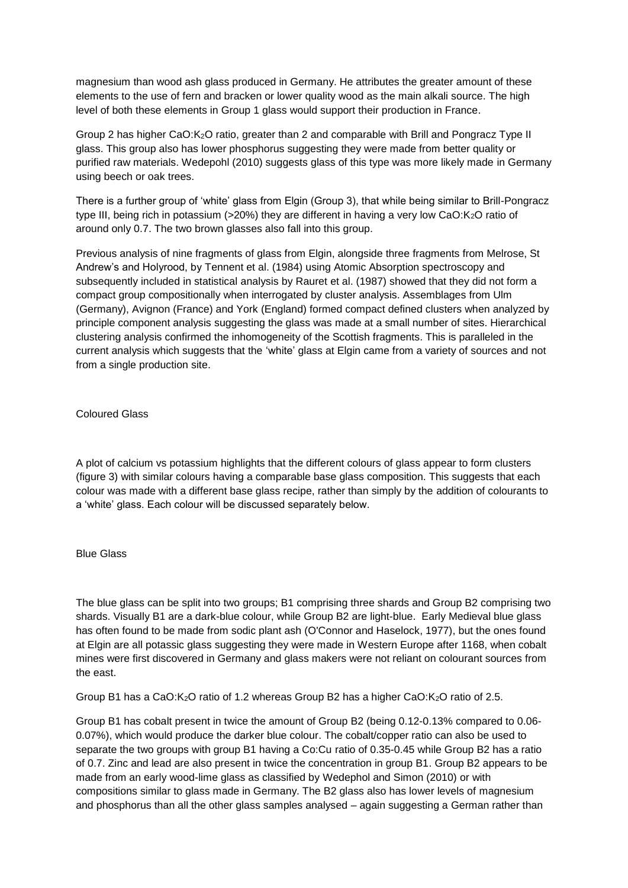magnesium than wood ash glass produced in Germany. He attributes the greater amount of these elements to the use of fern and bracken or lower quality wood as the main alkali source. The high level of both these elements in Group 1 glass would support their production in France.

Group 2 has higher CaO:K2O ratio, greater than 2 and comparable with Brill and Pongracz Type II glass. This group also has lower phosphorus suggesting they were made from better quality or purified raw materials. Wedepohl (2010) suggests glass of this type was more likely made in Germany using beech or oak trees.

There is a further group of 'white' glass from Elgin (Group 3), that while being similar to Brill-Pongracz type III, being rich in potassium (>20%) they are different in having a very low CaO:K<sub>2</sub>O ratio of around only 0.7. The two brown glasses also fall into this group.

Previous analysis of nine fragments of glass from Elgin, alongside three fragments from Melrose, St Andrew's and Holyrood, by Tennent et al. (1984) using Atomic Absorption spectroscopy and subsequently included in statistical analysis by Rauret et al. (1987) showed that they did not form a compact group compositionally when interrogated by cluster analysis. Assemblages from Ulm (Germany), Avignon (France) and York (England) formed compact defined clusters when analyzed by principle component analysis suggesting the glass was made at a small number of sites. Hierarchical clustering analysis confirmed the inhomogeneity of the Scottish fragments. This is paralleled in the current analysis which suggests that the 'white' glass at Elgin came from a variety of sources and not from a single production site.

Coloured Glass

A plot of calcium vs potassium highlights that the different colours of glass appear to form clusters (figure 3) with similar colours having a comparable base glass composition. This suggests that each colour was made with a different base glass recipe, rather than simply by the addition of colourants to a 'white' glass. Each colour will be discussed separately below.

# Blue Glass

The blue glass can be split into two groups; B1 comprising three shards and Group B2 comprising two shards. Visually B1 are a dark-blue colour, while Group B2 are light-blue. Early Medieval blue glass has often found to be made from sodic plant ash (O'Connor and Haselock, 1977), but the ones found at Elgin are all potassic glass suggesting they were made in Western Europe after 1168, when cobalt mines were first discovered in Germany and glass makers were not reliant on colourant sources from the east.

Group B1 has a CaO:K<sub>2</sub>O ratio of 1.2 whereas Group B2 has a higher CaO:K<sub>2</sub>O ratio of 2.5.

Group B1 has cobalt present in twice the amount of Group B2 (being 0.12-0.13% compared to 0.06- 0.07%), which would produce the darker blue colour. The cobalt/copper ratio can also be used to separate the two groups with group B1 having a Co:Cu ratio of 0.35-0.45 while Group B2 has a ratio of 0.7. Zinc and lead are also present in twice the concentration in group B1. Group B2 appears to be made from an early wood-lime glass as classified by Wedephol and Simon (2010) or with compositions similar to glass made in Germany. The B2 glass also has lower levels of magnesium and phosphorus than all the other glass samples analysed – again suggesting a German rather than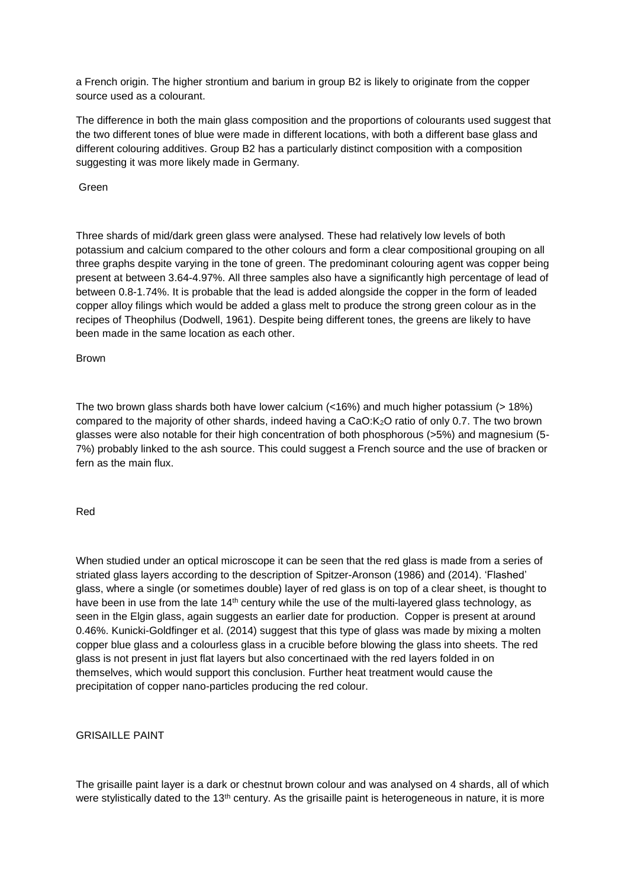a French origin. The higher strontium and barium in group B2 is likely to originate from the copper source used as a colourant.

The difference in both the main glass composition and the proportions of colourants used suggest that the two different tones of blue were made in different locations, with both a different base glass and different colouring additives. Group B2 has a particularly distinct composition with a composition suggesting it was more likely made in Germany.

Green

Three shards of mid/dark green glass were analysed. These had relatively low levels of both potassium and calcium compared to the other colours and form a clear compositional grouping on all three graphs despite varying in the tone of green. The predominant colouring agent was copper being present at between 3.64-4.97%. All three samples also have a significantly high percentage of lead of between 0.8-1.74%. It is probable that the lead is added alongside the copper in the form of leaded copper alloy filings which would be added a glass melt to produce the strong green colour as in the recipes of Theophilus (Dodwell, 1961). Despite being different tones, the greens are likely to have been made in the same location as each other.

Brown

The two brown glass shards both have lower calcium  $\left($  <16%) and much higher potassium (> 18%) compared to the majority of other shards, indeed having a CaO:K2O ratio of only 0.7. The two brown glasses were also notable for their high concentration of both phosphorous (>5%) and magnesium (5- 7%) probably linked to the ash source. This could suggest a French source and the use of bracken or fern as the main flux.

# Red

When studied under an optical microscope it can be seen that the red glass is made from a series of striated glass layers according to the description of Spitzer-Aronson (1986) and (2014). 'Flashed' glass, where a single (or sometimes double) layer of red glass is on top of a clear sheet, is thought to have been in use from the late 14<sup>th</sup> century while the use of the multi-layered glass technology, as seen in the Elgin glass, again suggests an earlier date for production. Copper is present at around 0.46%. Kunicki-Goldfinger et al. (2014) suggest that this type of glass was made by mixing a molten copper blue glass and a colourless glass in a crucible before blowing the glass into sheets. The red glass is not present in just flat layers but also concertinaed with the red layers folded in on themselves, which would support this conclusion. Further heat treatment would cause the precipitation of copper nano-particles producing the red colour.

# GRISAILLE PAINT

The grisaille paint layer is a dark or chestnut brown colour and was analysed on 4 shards, all of which were stylistically dated to the 13<sup>th</sup> century. As the grisaille paint is heterogeneous in nature, it is more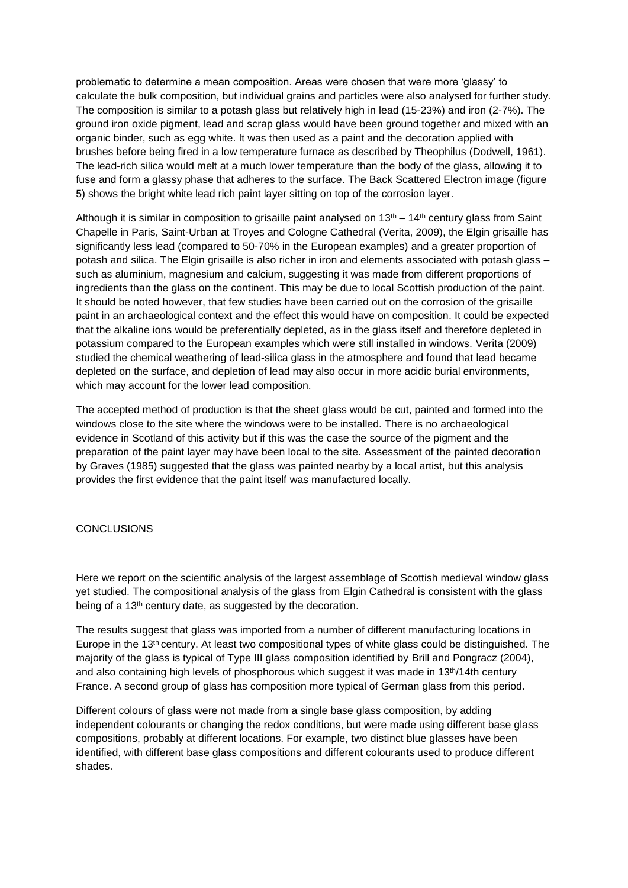problematic to determine a mean composition. Areas were chosen that were more 'glassy' to calculate the bulk composition, but individual grains and particles were also analysed for further study. The composition is similar to a potash glass but relatively high in lead (15-23%) and iron (2-7%). The ground iron oxide pigment, lead and scrap glass would have been ground together and mixed with an organic binder, such as egg white. It was then used as a paint and the decoration applied with brushes before being fired in a low temperature furnace as described by Theophilus (Dodwell, 1961). The lead-rich silica would melt at a much lower temperature than the body of the glass, allowing it to fuse and form a glassy phase that adheres to the surface. The Back Scattered Electron image (figure 5) shows the bright white lead rich paint layer sitting on top of the corrosion layer.

Although it is similar in composition to grisaille paint analysed on  $13<sup>th</sup> - 14<sup>th</sup>$  century glass from Saint Chapelle in Paris, Saint-Urban at Troyes and Cologne Cathedral (Verita, 2009), the Elgin grisaille has significantly less lead (compared to 50-70% in the European examples) and a greater proportion of potash and silica. The Elgin grisaille is also richer in iron and elements associated with potash glass – such as aluminium, magnesium and calcium, suggesting it was made from different proportions of ingredients than the glass on the continent. This may be due to local Scottish production of the paint. It should be noted however, that few studies have been carried out on the corrosion of the grisaille paint in an archaeological context and the effect this would have on composition. It could be expected that the alkaline ions would be preferentially depleted, as in the glass itself and therefore depleted in potassium compared to the European examples which were still installed in windows. Verita (2009) studied the chemical weathering of lead-silica glass in the atmosphere and found that lead became depleted on the surface, and depletion of lead may also occur in more acidic burial environments, which may account for the lower lead composition.

The accepted method of production is that the sheet glass would be cut, painted and formed into the windows close to the site where the windows were to be installed. There is no archaeological evidence in Scotland of this activity but if this was the case the source of the pigment and the preparation of the paint layer may have been local to the site. Assessment of the painted decoration by Graves (1985) suggested that the glass was painted nearby by a local artist, but this analysis provides the first evidence that the paint itself was manufactured locally.

# **CONCLUSIONS**

Here we report on the scientific analysis of the largest assemblage of Scottish medieval window glass yet studied. The compositional analysis of the glass from Elgin Cathedral is consistent with the glass being of a 13<sup>th</sup> century date, as suggested by the decoration.

The results suggest that glass was imported from a number of different manufacturing locations in Europe in the 13th century. At least two compositional types of white glass could be distinguished. The majority of the glass is typical of Type III glass composition identified by Brill and Pongracz (2004), and also containing high levels of phosphorous which suggest it was made in  $13<sup>th</sup>/14th$  century France. A second group of glass has composition more typical of German glass from this period.

Different colours of glass were not made from a single base glass composition, by adding independent colourants or changing the redox conditions, but were made using different base glass compositions, probably at different locations. For example, two distinct blue glasses have been identified, with different base glass compositions and different colourants used to produce different shades.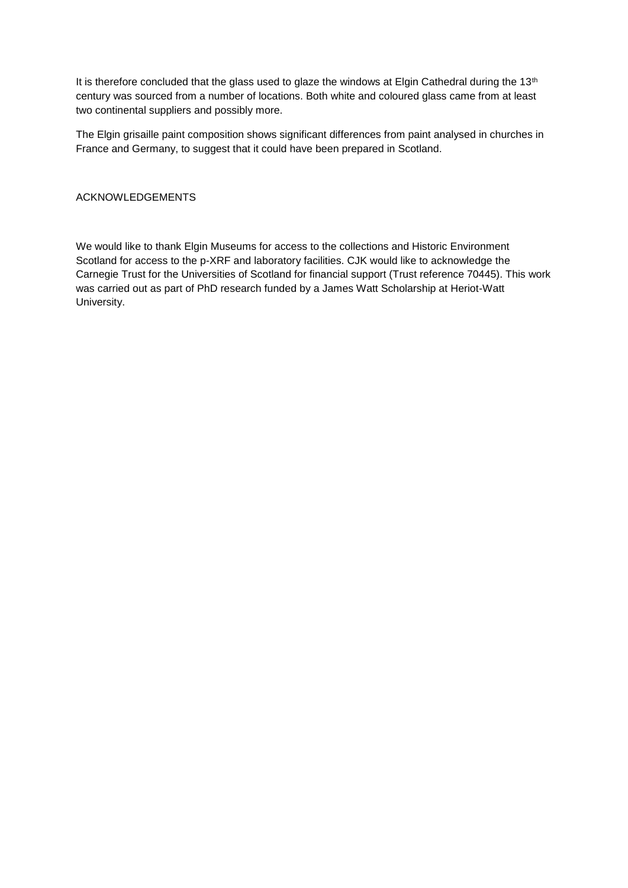It is therefore concluded that the glass used to glaze the windows at Elgin Cathedral during the 13<sup>th</sup> century was sourced from a number of locations. Both white and coloured glass came from at least two continental suppliers and possibly more.

The Elgin grisaille paint composition shows significant differences from paint analysed in churches in France and Germany, to suggest that it could have been prepared in Scotland.

# ACKNOWLEDGEMENTS

We would like to thank Elgin Museums for access to the collections and Historic Environment Scotland for access to the p-XRF and laboratory facilities. CJK would like to acknowledge the Carnegie Trust for the Universities of Scotland for financial support (Trust reference 70445). This work was carried out as part of PhD research funded by a James Watt Scholarship at Heriot-Watt University.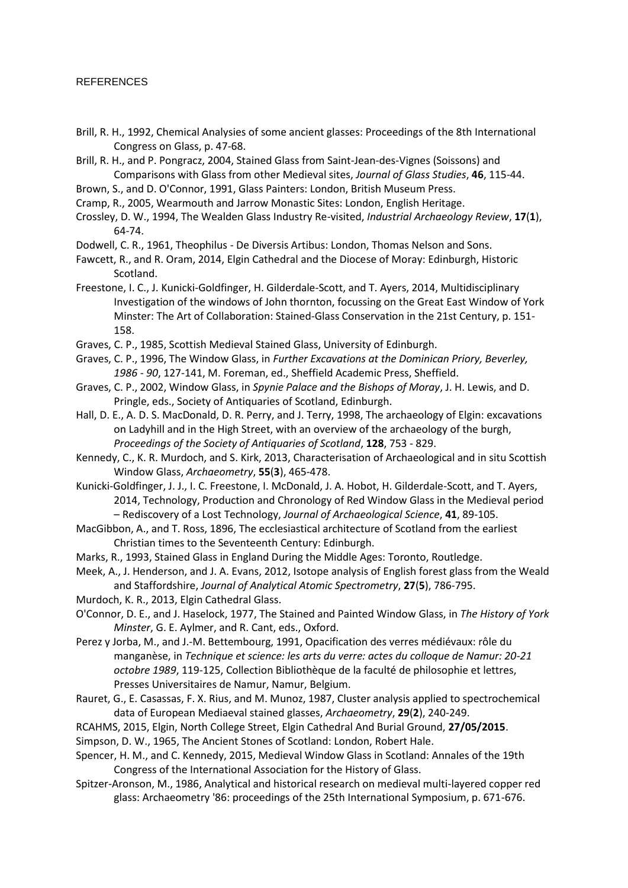# REFERENCES

- Brill, R. H., 1992, Chemical Analysies of some ancient glasses: Proceedings of the 8th International Congress on Glass, p. 47-68.
- Brill, R. H., and P. Pongracz, 2004, Stained Glass from Saint-Jean-des-Vignes (Soissons) and Comparisons with Glass from other Medieval sites, *Journal of Glass Studies*, **46**, 115-44.
- Brown, S., and D. O'Connor, 1991, Glass Painters: London, British Museum Press.
- Cramp, R., 2005, Wearmouth and Jarrow Monastic Sites: London, English Heritage.
- Crossley, D. W., 1994, The Wealden Glass Industry Re-visited, *Industrial Archaeology Review*, **17**(**1**), 64-74.
- Dodwell, C. R., 1961, Theophilus De Diversis Artibus: London, Thomas Nelson and Sons.
- Fawcett, R., and R. Oram, 2014, Elgin Cathedral and the Diocese of Moray: Edinburgh, Historic Scotland.
- Freestone, I. C., J. Kunicki-Goldfinger, H. Gilderdale-Scott, and T. Ayers, 2014, Multidisciplinary Investigation of the windows of John thornton, focussing on the Great East Window of York Minster: The Art of Collaboration: Stained-Glass Conservation in the 21st Century, p. 151- 158.
- Graves, C. P., 1985, Scottish Medieval Stained Glass, University of Edinburgh.
- Graves, C. P., 1996, The Window Glass, in *Further Excavations at the Dominican Priory, Beverley, 1986 - 90*, 127-141, M. Foreman, ed., Sheffield Academic Press, Sheffield.
- Graves, C. P., 2002, Window Glass, in *Spynie Palace and the Bishops of Moray*, J. H. Lewis, and D. Pringle, eds., Society of Antiquaries of Scotland, Edinburgh.
- Hall, D. E., A. D. S. MacDonald, D. R. Perry, and J. Terry, 1998, The archaeology of Elgin: excavations on Ladyhill and in the High Street, with an overview of the archaeology of the burgh, *Proceedings of the Society of Antiquaries of Scotland*, **128**, 753 - 829.
- Kennedy, C., K. R. Murdoch, and S. Kirk, 2013, Characterisation of Archaeological and in situ Scottish Window Glass, *Archaeometry*, **55**(**3**), 465-478.
- Kunicki-Goldfinger, J. J., I. C. Freestone, I. McDonald, J. A. Hobot, H. Gilderdale-Scott, and T. Ayers, 2014, Technology, Production and Chronology of Red Window Glass in the Medieval period – Rediscovery of a Lost Technology, *Journal of Archaeological Science*, **41**, 89-105.
- MacGibbon, A., and T. Ross, 1896, The ecclesiastical architecture of Scotland from the earliest Christian times to the Seventeenth Century: Edinburgh.
- Marks, R., 1993, Stained Glass in England During the Middle Ages: Toronto, Routledge.
- Meek, A., J. Henderson, and J. A. Evans, 2012, Isotope analysis of English forest glass from the Weald and Staffordshire, *Journal of Analytical Atomic Spectrometry*, **27**(**5**), 786-795.
- Murdoch, K. R., 2013, Elgin Cathedral Glass.
- O'Connor, D. E., and J. Haselock, 1977, The Stained and Painted Window Glass, in *The History of York Minster*, G. E. Aylmer, and R. Cant, eds., Oxford.
- Perez y Jorba, M., and J.-M. Bettembourg, 1991, Opacification des verres médiévaux: rôle du manganèse, in *Technique et science: les arts du verre: actes du colloque de Namur: 20-21 octobre 1989*, 119-125, Collection Bibliothèque de la faculté de philosophie et lettres, Presses Universitaires de Namur, Namur, Belgium.
- Rauret, G., E. Casassas, F. X. Rius, and M. Munoz, 1987, Cluster analysis applied to spectrochemical data of European Mediaeval stained glasses, *Archaeometry*, **29**(**2**), 240-249.
- RCAHMS, 2015, Elgin, North College Street, Elgin Cathedral And Burial Ground, **27/05/2015**.
- Simpson, D. W., 1965, The Ancient Stones of Scotland: London, Robert Hale.
- Spencer, H. M., and C. Kennedy, 2015, Medieval Window Glass in Scotland: Annales of the 19th Congress of the International Association for the History of Glass.
- Spitzer-Aronson, M., 1986, Analytical and historical research on medieval multi-layered copper red glass: Archaeometry '86: proceedings of the 25th International Symposium, p. 671-676.